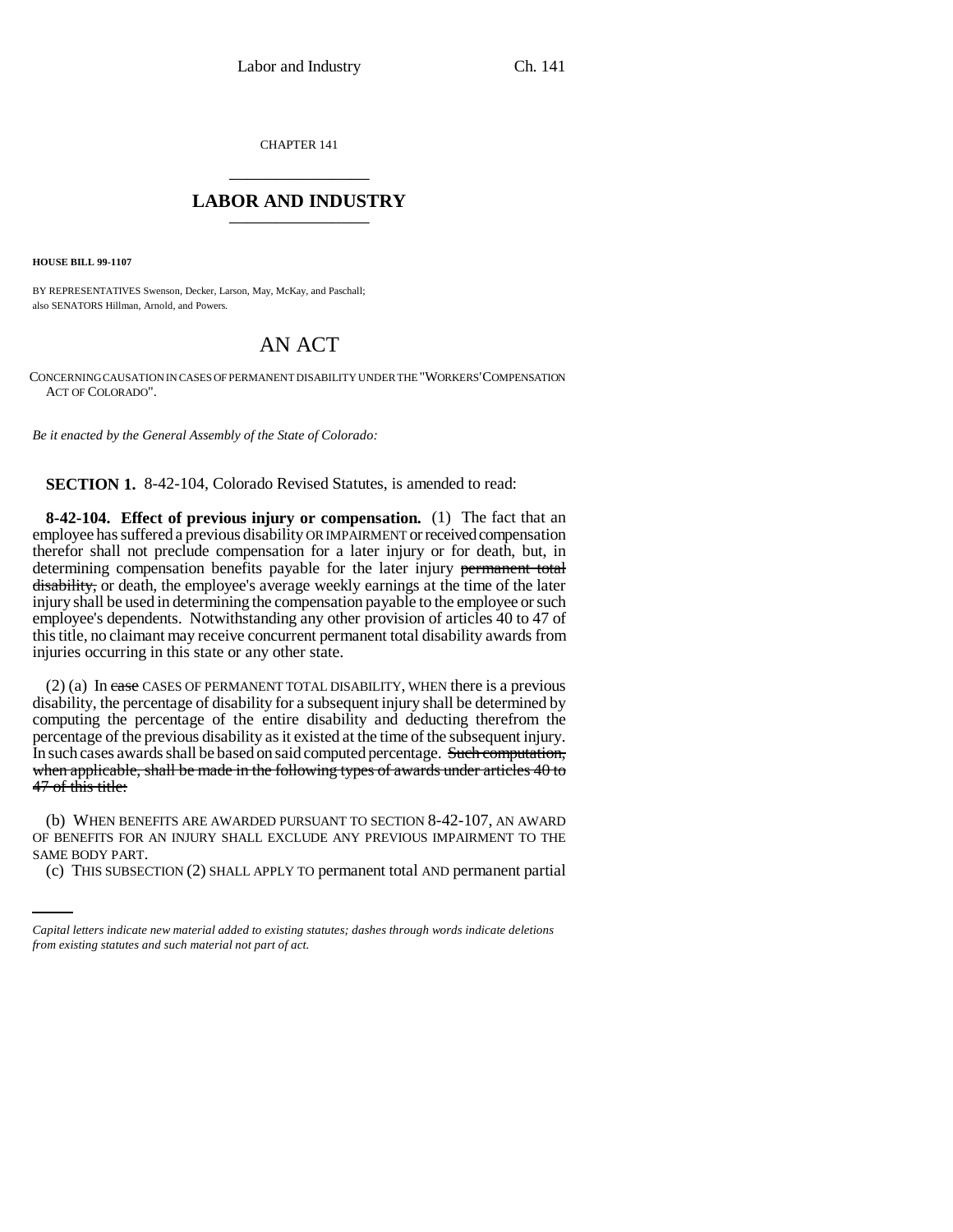CHAPTER 141 \_\_\_\_\_\_\_\_\_\_\_\_\_\_\_

## **LABOR AND INDUSTRY** \_\_\_\_\_\_\_\_\_\_\_\_\_\_\_

**HOUSE BILL 99-1107** 

BY REPRESENTATIVES Swenson, Decker, Larson, May, McKay, and Paschall; also SENATORS Hillman, Arnold, and Powers.

## AN ACT

CONCERNING CAUSATION IN CASES OF PERMANENT DISABILITY UNDER THE "WORKERS'COMPENSATION ACT OF COLORADO".

*Be it enacted by the General Assembly of the State of Colorado:*

**SECTION 1.** 8-42-104, Colorado Revised Statutes, is amended to read:

**8-42-104. Effect of previous injury or compensation.** (1) The fact that an employee has suffered a previous disability OR IMPAIRMENT or received compensation therefor shall not preclude compensation for a later injury or for death, but, in determining compensation benefits payable for the later injury permanent total disability, or death, the employee's average weekly earnings at the time of the later injury shall be used in determining the compensation payable to the employee or such employee's dependents. Notwithstanding any other provision of articles 40 to 47 of this title, no claimant may receive concurrent permanent total disability awards from injuries occurring in this state or any other state.

(2) (a) In case CASES OF PERMANENT TOTAL DISABILITY, WHEN there is a previous disability, the percentage of disability for a subsequent injury shall be determined by computing the percentage of the entire disability and deducting therefrom the percentage of the previous disability as it existed at the time of the subsequent injury. In such cases awards shall be based on said computed percentage. Such computation, when applicable, shall be made in the following types of awards under articles 40 to 47 of this title:

OF BENEFITS FOR AN INJURY SHALL EXCLUDE ANY PREVIOUS IMPAIRMENT TO THE (b) WHEN BENEFITS ARE AWARDED PURSUANT TO SECTION 8-42-107, AN AWARD SAME BODY PART.

(c) THIS SUBSECTION (2) SHALL APPLY TO permanent total AND permanent partial

*Capital letters indicate new material added to existing statutes; dashes through words indicate deletions from existing statutes and such material not part of act.*